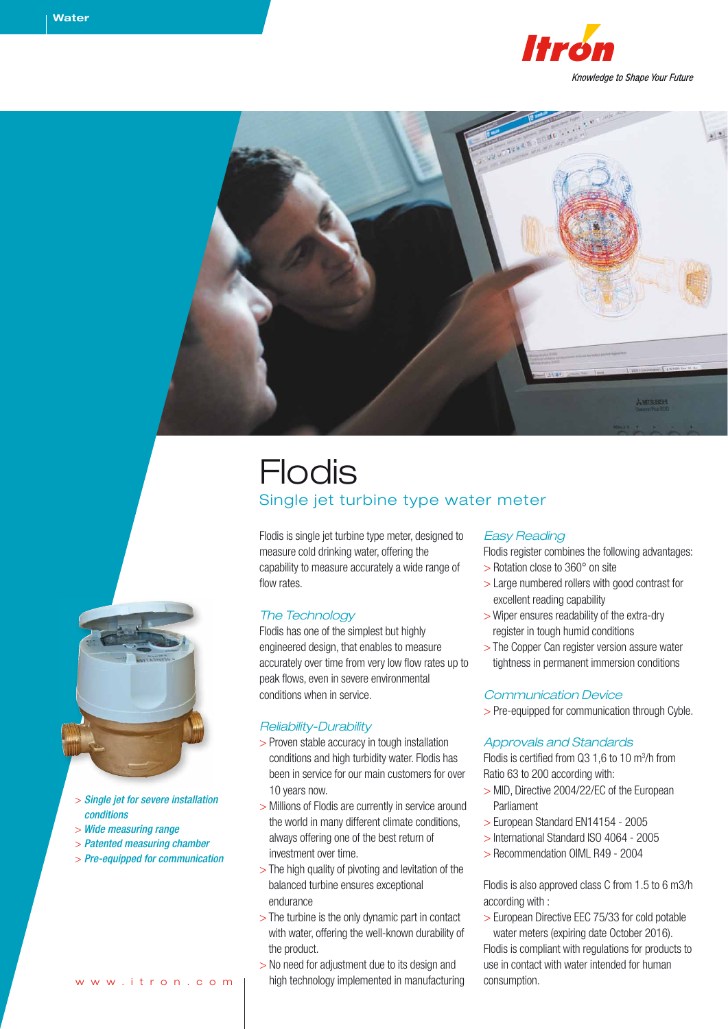



# Flodis Single jet turbine type water meter

Flodis is single jet turbine type meter, designed to measure cold drinking water, offering the capability to measure accurately a wide range of flow rates.

### *The Technology*

Flodis has one of the simplest but highly engineered design, that enables to measure accurately over time from very low flow rates up to peak flows, even in severe environmental conditions when in service.

### *Reliability-Durability*

- > Proven stable accuracy in tough installation conditions and high turbidity water. Flodis has been in service for our main customers for over 10 years now.
- > Millions of Flodis are currently in service around the world in many different climate conditions, always offering one of the best return of investment over time.
- > The high quality of pivoting and levitation of the balanced turbine ensures exceptional endurance
- > The turbine is the only dynamic part in contact with water, offering the well-known durability of the product.
- > No need for adjustment due to its design and high technology implemented in manufacturing

### *Easy Reading*

Flodis register combines the following advantages:

- > Rotation close to 360° on site
- > Large numbered rollers with good contrast for excellent reading capability
- > Wiper ensures readability of the extra-dry register in tough humid conditions
- > The Copper Can register version assure water tightness in permanent immersion conditions

### *Communication Device*

> Pre-equipped for communication through Cyble.

### *Approvals and Standards*

Flodis is certified from  $Q3$  1,6 to 10 m<sup>3</sup>/h from Ratio 63 to 200 according with:

- > MID, Directive 2004/22/EC of the European Parliament
- > European Standard EN14154 2005
- > International Standard ISO 4064 2005
- > Recommendation OIML R49 2004

Flodis is also approved class C from 1.5 to 6 m3/h according with :

> European Directive EEC 75/33 for cold potable water meters (expiring date October 2016). Flodis is compliant with regulations for products to use in contact with water intended for human consumption.



- > *Single jet for severe installation conditions*
- > *Wide measuring range*
- > *Patented measuring chamber*
- > *Pre-equipped for communication*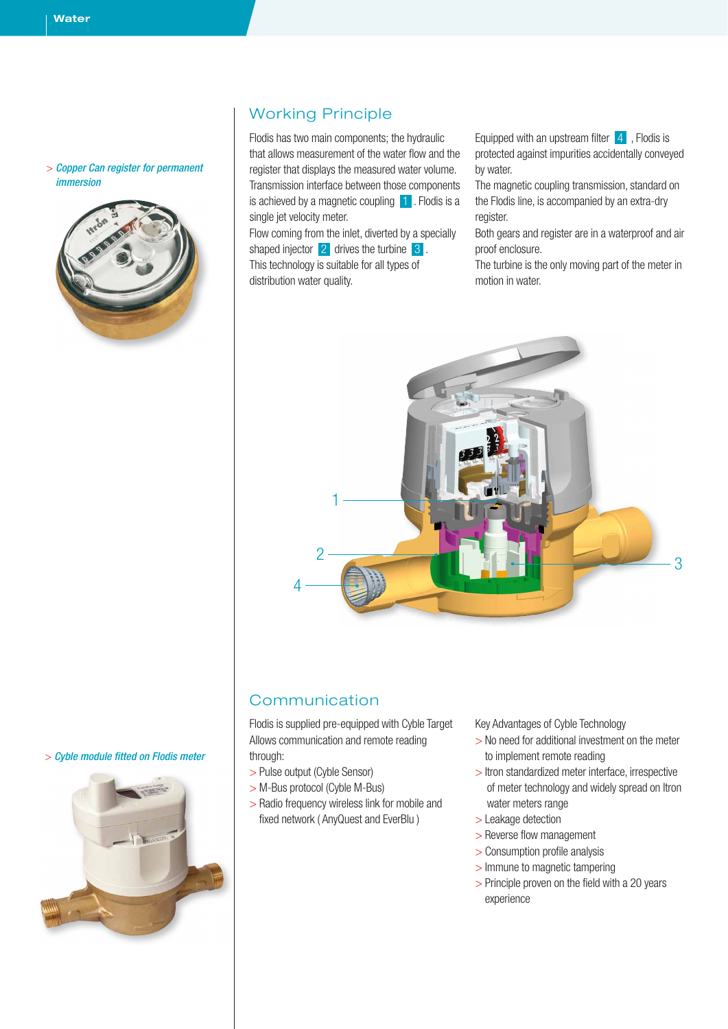#### > *Copper Can register for permanent immersion*



## Working Principle

Flodis has two main components; the hydraulic that allows measurement of the water flow and the register that displays the measured water volume. Transmission interface between those components is achieved by a magnetic coupling  $\blacksquare$ . Flodis is a single jet velocity meter.

Flow coming from the inlet, diverted by a specially shaped injector 2 drives the turbine 3. This technology is suitable for all types of distribution water quality.

Equipped with an upstream filter  $\begin{bmatrix} 4 \end{bmatrix}$ , Flodis is protected against impurities accidentally conveyed by water.

The magnetic coupling transmission, standard on the Flodis line, is accompanied by an extra-dry register.

Both gears and register are in a waterproof and air proof enclosure.

The turbine is the only moving part of the meter in motion in water.



### Communication

Flodis is supplied pre-equipped with Cyble Target Allows communication and remote reading through:

- > Pulse output (Cyble Sensor)
- > M-Bus protocol (Cyble M-Bus)
- > Radio frequency wireless link for mobile and fixed network ( AnyQuest and EverBlu )

Key Advantages of Cyble Technology

- > No need for additional investment on the meter to implement remote reading
- > Itron standardized meter interface, irrespective of meter technology and widely spread on Itron water meters range
- > Leakage detection
- > Reverse flow management
- > Consumption profile analysis
- > Immune to magnetic tampering
- > Principle proven on the field with a 20 years experience

> *Cyble module fitted on Flodis meter*

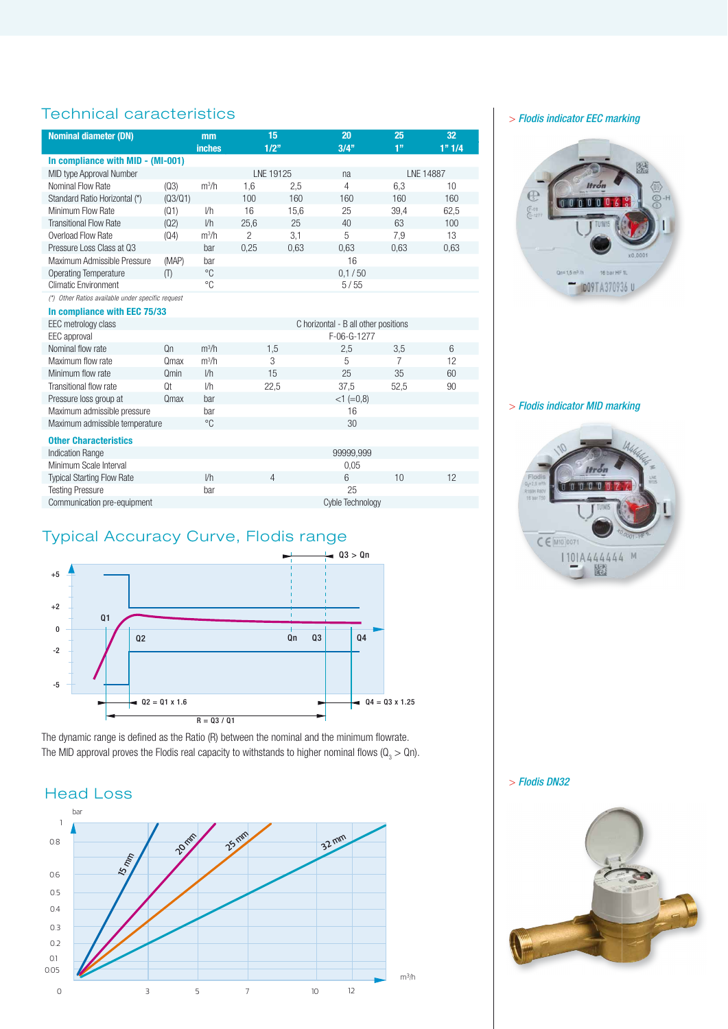# Technical caracteristics

| <b>Nominal diameter (DN)</b>                      |                | mm            | 15                                   |      | 20               | 25             | 32        |  |
|---------------------------------------------------|----------------|---------------|--------------------------------------|------|------------------|----------------|-----------|--|
|                                                   |                | <b>inches</b> |                                      | 1/2" | $3/4$ "          | 1 <sup>9</sup> | 1" 1/4    |  |
| In compliance with MID - (MI-001)                 |                |               |                                      |      |                  |                |           |  |
| MID type Approval Number                          |                |               | LNE 19125                            |      | na               |                | LNE 14887 |  |
| Nominal Flow Rate                                 | (Q3)           | $m^3/h$       | 1,6                                  | 2,5  | $\overline{4}$   | 6.3            | 10        |  |
| Standard Ratio Horizontal (*)                     | (03/01)        |               | 100                                  | 160  | 160              | 160            | 160       |  |
| Minimum Flow Rate                                 | (Q1)           | 1/h           | 16                                   | 15,6 | 25               | 39,4           | 62,5      |  |
| <b>Transitional Flow Rate</b>                     | (Q2)           | 1/h           | 25,6                                 | 25   | 40               | 63             | 100       |  |
| Overload Flow Rate                                | (Q4)           | $m^3/h$       | $\overline{2}$                       | 3,1  | 5                | 7,9            | 13        |  |
| Pressure Loss Class at 03                         |                | bar           | 0,25                                 | 0,63 | 0,63             | 0,63           | 0,63      |  |
| Maximum Admissible Pressure                       | (MAP)          | bar           |                                      |      | 16               |                |           |  |
| <b>Operating Temperature</b>                      | (1)            | $^{\circ}C$   |                                      |      | 0.1 / 50         |                |           |  |
| <b>Climatic Environment</b>                       |                | °C            |                                      |      | 5/55             |                |           |  |
| (*) Other Ratios available under specific request |                |               |                                      |      |                  |                |           |  |
| In compliance with EEC 75/33                      |                |               |                                      |      |                  |                |           |  |
| EEC metrology class                               |                |               | C horizontal - B all other positions |      |                  |                |           |  |
| EEC approval                                      |                |               |                                      |      | F-06-G-1277      |                |           |  |
| Nominal flow rate                                 | 0 <sub>n</sub> | $m^3/h$       |                                      | 1,5  | 2,5              | 3,5            | 6         |  |
| Maximum flow rate                                 | Qmax           | $m^3/h$       |                                      | 3    | 5                | 7              | 12        |  |
| Minimum flow rate                                 | Omin           | 1/h           |                                      | 15   | 25               | 35             | 60        |  |
| Transitional flow rate                            | 0t             | I/h           |                                      | 22,5 | 37,5             | 52,5           | 90        |  |
| Pressure loss group at                            | Qmax           | bar           |                                      |      | $<1 (=0,8)$      |                |           |  |
| Maximum admissible pressure                       |                | bar           |                                      |      | 16               |                |           |  |
| Maximum admissible temperature                    |                | °C            |                                      |      | 30               |                |           |  |
| <b>Other Characteristics</b>                      |                |               |                                      |      |                  |                |           |  |
| <b>Indication Range</b>                           |                |               |                                      |      | 99999,999        |                |           |  |
| Minimum Scale Interval                            |                |               |                                      |      | 0.05             |                |           |  |
| <b>Typical Starting Flow Rate</b>                 |                | 1/h           |                                      | 4    | 6                | 10             | 12        |  |
| <b>Testing Pressure</b>                           |                | bar           |                                      |      | 25               |                |           |  |
| Communication pre-equipment                       |                |               |                                      |      | Cyble Technology |                |           |  |

# Typical Accuracy Curve, Flodis range



The dynamic range is defined as the Ratio (R) between the nominal and the minimum flowrate. The MID approval proves the Flodis real capacity to withstands to higher nominal flows ( $\mathsf{Q}_{_3}$   $>$  Qn).

### Head Loss



> *Flodis indicator EEC marking*



> *Flodis indicator MID marking*



> *Flodis DN32*